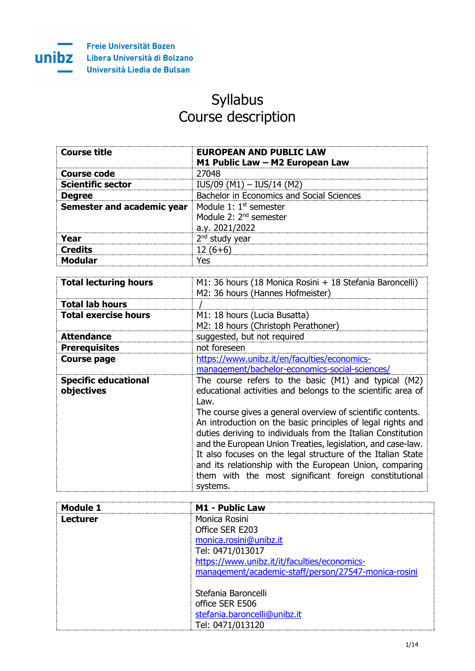

# Syllabus Course description

| <b>Course title</b>               | <b>EUROPEAN AND PUBLIC LAW</b>                               |
|-----------------------------------|--------------------------------------------------------------|
|                                   | M1 Public Law - M2 European Law                              |
| <b>Course code</b>                | 27048                                                        |
| <b>Scientific sector</b>          | $IUS/09$ (M1) - $IUS/14$ (M2)                                |
| <b>Degree</b>                     | Bachelor in Economics and Social Sciences                    |
| <b>Semester and academic year</b> | Module 1: $1st$ semester                                     |
|                                   | Module 2: 2 <sup>nd</sup> semester                           |
|                                   | a.y. 2021/2022                                               |
| Year                              | $2nd$ study year                                             |
| <b>Credits</b>                    | $12(6+6)$                                                    |
| <b>Modular</b>                    | Yes                                                          |
|                                   |                                                              |
| <b>Total lecturing hours</b>      | M1: 36 hours (18 Monica Rosini + 18 Stefania Baroncelli)     |
|                                   | M2: 36 hours (Hannes Hofmeister)                             |
| <b>Total lab hours</b>            |                                                              |
| <b>Total exercise hours</b>       | M1: 18 hours (Lucia Busatta)                                 |
|                                   | M2: 18 hours (Christoph Perathoner)                          |
| <b>Attendance</b>                 | suggested, but not required                                  |
| <b>Prerequisites</b>              | not foreseen                                                 |
| <b>Course page</b>                | https://www.unibz.it/en/faculties/economics-                 |
|                                   | management/bachelor-economics-social-sciences/               |
| <b>Specific educational</b>       | The course refers to the basic (M1) and typical (M2)         |
| objectives                        | educational activities and belongs to the scientific area of |
|                                   | Law.                                                         |
|                                   | The course gives a general overview of scientific contents.  |
|                                   | An introduction on the basic principles of legal rights and  |
|                                   | duties deriving to individuals from the Italian Constitution |
|                                   | and the European Union Treaties, legislation, and case-law.  |
|                                   | It also focuses on the legal structure of the Italian State  |
|                                   | and its relationship with the European Union, comparing      |
|                                   | them with the most significant foreign constitutional        |
|                                   | systems.                                                     |

| Module 1 | <b>M1 - Public Law</b>                               |
|----------|------------------------------------------------------|
| Lecturer | Monica Rosini                                        |
|          | Office SER E203                                      |
|          | monica.rosini@unibz.it                               |
|          | Tel: 0471/013017                                     |
|          | https://www.unibz.it/it/faculties/economics-         |
|          | management/academic-staff/person/27547-monica-rosini |
|          |                                                      |
|          | Stefania Baroncelli                                  |
|          | office SER E506                                      |
|          | stefania.baroncelli@unibz.it                         |
|          | Tel: 0471/013120                                     |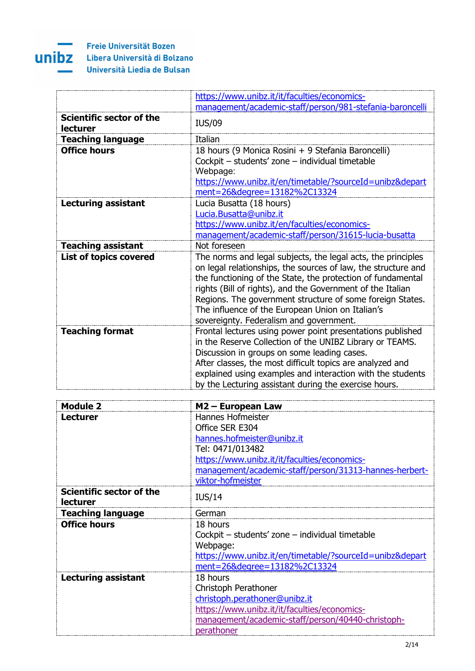

|                                             | https://www.unibz.it/it/faculties/economics-                                                                                                                                                                                                                                                                                                                                                                           |
|---------------------------------------------|------------------------------------------------------------------------------------------------------------------------------------------------------------------------------------------------------------------------------------------------------------------------------------------------------------------------------------------------------------------------------------------------------------------------|
|                                             | management/academic-staff/person/981-stefania-baroncelli                                                                                                                                                                                                                                                                                                                                                               |
| Scientific sector of the<br><b>lecturer</b> | <b>IUS/09</b>                                                                                                                                                                                                                                                                                                                                                                                                          |
| <b>Teaching language</b>                    | Italian                                                                                                                                                                                                                                                                                                                                                                                                                |
| <b>Office hours</b>                         | 18 hours (9 Monica Rosini + 9 Stefania Baroncelli)<br>Cockpit - students' zone - individual timetable<br>Webpage:<br>https://www.unibz.it/en/timetable/?sourceId=unibz&depart<br>ment=26&degree=13182%2C13324                                                                                                                                                                                                          |
| <b>Lecturing assistant</b>                  | Lucia Busatta (18 hours)<br>Lucia.Busatta@unibz.it<br>https://www.unibz.it/en/faculties/economics-<br>management/academic-staff/person/31615-lucia-busatta                                                                                                                                                                                                                                                             |
| <b>Teaching assistant</b>                   | Not foreseen                                                                                                                                                                                                                                                                                                                                                                                                           |
| <b>List of topics covered</b>               | The norms and legal subjects, the legal acts, the principles<br>on legal relationships, the sources of law, the structure and<br>the functioning of the State, the protection of fundamental<br>rights (Bill of rights), and the Government of the Italian<br>Regions. The government structure of some foreign States.<br>The influence of the European Union on Italian's<br>sovereignty. Federalism and government. |
| <b>Teaching format</b>                      | Frontal lectures using power point presentations published<br>in the Reserve Collection of the UNIBZ Library or TEAMS.<br>Discussion in groups on some leading cases.<br>After classes, the most difficult topics are analyzed and<br>explained using examples and interaction with the students<br>by the Lecturing assistant during the exercise hours.                                                              |

| Module 2                                           | M2 - European Law                                        |
|----------------------------------------------------|----------------------------------------------------------|
| <b>Lecturer</b>                                    | Hannes Hofmeister                                        |
|                                                    | Office SER E304                                          |
|                                                    | hannes.hofmeister@unibz.it                               |
|                                                    | Tel: 0471/013482                                         |
|                                                    | https://www.unibz.it/it/faculties/economics-             |
|                                                    | management/academic-staff/person/31313-hannes-herbert-   |
|                                                    | viktor-hofmeister                                        |
| <b>Scientific sector of the</b><br><b>lecturer</b> | <b>IUS/14</b>                                            |
| <b>Teaching language</b>                           | German                                                   |
| <b>Office hours</b>                                | 18 hours                                                 |
|                                                    | Cockpit - students' zone - individual timetable          |
|                                                    | Webpage:                                                 |
|                                                    | https://www.unibz.it/en/timetable/?sourceId=unibz&depart |
|                                                    | ment=26&degree=13182%2C13324                             |
| <b>Lecturing assistant</b>                         | 18 hours                                                 |
|                                                    | Christoph Perathoner                                     |
|                                                    | christoph.perathoner@unibz.it                            |
|                                                    | https://www.unibz.it/it/faculties/economics-             |
|                                                    | management/academic-staff/person/40440-christoph-        |
|                                                    | perathoner                                               |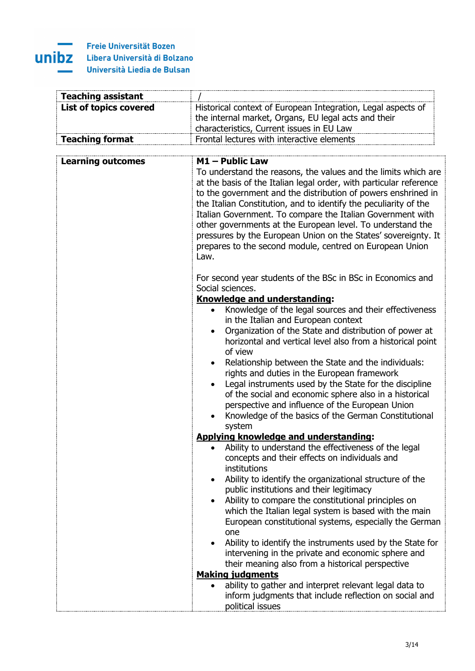#### × ÷. unibz

| <b>Teaching assistant</b>     |                                                                                                                                                                                                                                                                                                                                                                                                                                                                                                                                                                                                                                                                                                                                                        |
|-------------------------------|--------------------------------------------------------------------------------------------------------------------------------------------------------------------------------------------------------------------------------------------------------------------------------------------------------------------------------------------------------------------------------------------------------------------------------------------------------------------------------------------------------------------------------------------------------------------------------------------------------------------------------------------------------------------------------------------------------------------------------------------------------|
| <b>List of topics covered</b> | Historical context of European Integration, Legal aspects of<br>the internal market, Organs, EU legal acts and their<br>characteristics, Current issues in EU Law                                                                                                                                                                                                                                                                                                                                                                                                                                                                                                                                                                                      |
| <b>Teaching format</b>        | Frontal lectures with interactive elements                                                                                                                                                                                                                                                                                                                                                                                                                                                                                                                                                                                                                                                                                                             |
|                               |                                                                                                                                                                                                                                                                                                                                                                                                                                                                                                                                                                                                                                                                                                                                                        |
| <b>Learning outcomes</b>      | $M1$ – Public Law<br>To understand the reasons, the values and the limits which are<br>at the basis of the Italian legal order, with particular reference<br>to the government and the distribution of powers enshrined in<br>the Italian Constitution, and to identify the peculiarity of the<br>Italian Government. To compare the Italian Government with<br>other governments at the European level. To understand the<br>pressures by the European Union on the States' sovereignty. It<br>prepares to the second module, centred on European Union                                                                                                                                                                                               |
|                               | Law.<br>For second year students of the BSc in BSc in Economics and<br>Social sciences.<br>Knowledge and understanding:<br>Knowledge of the legal sources and their effectiveness<br>$\bullet$<br>in the Italian and European context<br>Organization of the State and distribution of power at<br>$\bullet$<br>horizontal and vertical level also from a historical point<br>of view<br>Relationship between the State and the individuals:<br>rights and duties in the European framework<br>Legal instruments used by the State for the discipline<br>$\bullet$<br>of the social and economic sphere also in a historical<br>perspective and influence of the European Union<br>Knowledge of the basics of the German Constitutional<br>٠<br>system |
|                               | <b>Applying knowledge and understanding:</b>                                                                                                                                                                                                                                                                                                                                                                                                                                                                                                                                                                                                                                                                                                           |
|                               | Ability to understand the effectiveness of the legal<br>concepts and their effects on individuals and<br>institutions<br>Ability to identify the organizational structure of the<br>$\bullet$<br>public institutions and their legitimacy<br>Ability to compare the constitutional principles on<br>which the Italian legal system is based with the main<br>European constitutional systems, especially the German<br>one<br>Ability to identify the instruments used by the State for<br>$\bullet$<br>intervening in the private and economic sphere and<br>their meaning also from a historical perspective                                                                                                                                         |
|                               | <b>Making judgments</b>                                                                                                                                                                                                                                                                                                                                                                                                                                                                                                                                                                                                                                                                                                                                |
|                               | ability to gather and interpret relevant legal data to<br>inform judgments that include reflection on social and<br>political issues                                                                                                                                                                                                                                                                                                                                                                                                                                                                                                                                                                                                                   |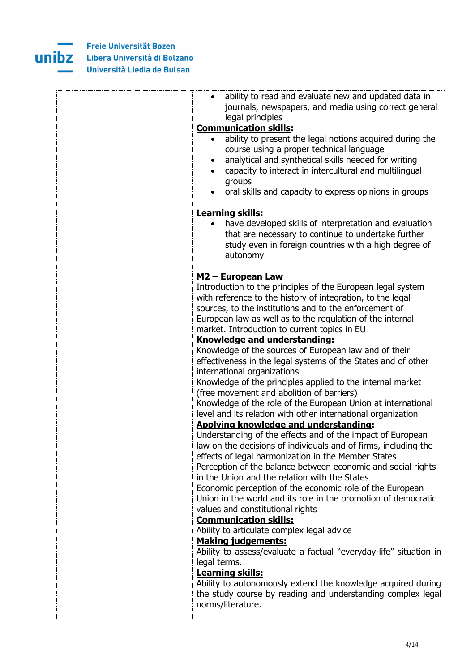

| ability to read and evaluate new and updated data in<br>$\bullet$                                                                                                                                                                                                                                                                                                                                                                                                                                                                                                                                                                                                                                                                                                                                                                                                                                                                                                                                                                                                                                                                                                                                                                                                                    |
|--------------------------------------------------------------------------------------------------------------------------------------------------------------------------------------------------------------------------------------------------------------------------------------------------------------------------------------------------------------------------------------------------------------------------------------------------------------------------------------------------------------------------------------------------------------------------------------------------------------------------------------------------------------------------------------------------------------------------------------------------------------------------------------------------------------------------------------------------------------------------------------------------------------------------------------------------------------------------------------------------------------------------------------------------------------------------------------------------------------------------------------------------------------------------------------------------------------------------------------------------------------------------------------|
| journals, newspapers, and media using correct general                                                                                                                                                                                                                                                                                                                                                                                                                                                                                                                                                                                                                                                                                                                                                                                                                                                                                                                                                                                                                                                                                                                                                                                                                                |
| legal principles<br><b>Communication skills:</b>                                                                                                                                                                                                                                                                                                                                                                                                                                                                                                                                                                                                                                                                                                                                                                                                                                                                                                                                                                                                                                                                                                                                                                                                                                     |
| ability to present the legal notions acquired during the<br>course using a proper technical language<br>analytical and synthetical skills needed for writing<br>٠<br>capacity to interact in intercultural and multilingual<br>groups<br>oral skills and capacity to express opinions in groups                                                                                                                                                                                                                                                                                                                                                                                                                                                                                                                                                                                                                                                                                                                                                                                                                                                                                                                                                                                      |
| <b>Learning skills:</b>                                                                                                                                                                                                                                                                                                                                                                                                                                                                                                                                                                                                                                                                                                                                                                                                                                                                                                                                                                                                                                                                                                                                                                                                                                                              |
| have developed skills of interpretation and evaluation<br>that are necessary to continue to undertake further<br>study even in foreign countries with a high degree of<br>autonomy                                                                                                                                                                                                                                                                                                                                                                                                                                                                                                                                                                                                                                                                                                                                                                                                                                                                                                                                                                                                                                                                                                   |
|                                                                                                                                                                                                                                                                                                                                                                                                                                                                                                                                                                                                                                                                                                                                                                                                                                                                                                                                                                                                                                                                                                                                                                                                                                                                                      |
| M2 - European Law<br>Introduction to the principles of the European legal system<br>with reference to the history of integration, to the legal<br>sources, to the institutions and to the enforcement of<br>European law as well as to the regulation of the internal<br>market. Introduction to current topics in EU<br>Knowledge and understanding:<br>Knowledge of the sources of European law and of their<br>effectiveness in the legal systems of the States and of other<br>international organizations<br>Knowledge of the principles applied to the internal market<br>(free movement and abolition of barriers)<br>Knowledge of the role of the European Union at international<br>level and its relation with other international organization<br><b>Applying knowledge and understanding:</b><br>Understanding of the effects and of the impact of European<br>law on the decisions of individuals and of firms, including the<br>effects of legal harmonization in the Member States<br>Perception of the balance between economic and social rights<br>in the Union and the relation with the States<br>Economic perception of the economic role of the European<br>Union in the world and its role in the promotion of democratic<br>values and constitutional rights |
| <b>Communication skills:</b><br>Ability to articulate complex legal advice                                                                                                                                                                                                                                                                                                                                                                                                                                                                                                                                                                                                                                                                                                                                                                                                                                                                                                                                                                                                                                                                                                                                                                                                           |
| <b>Making judgements:</b><br>Ability to assess/evaluate a factual "everyday-life" situation in<br>legal terms.<br>Learning skills:<br>Ability to autonomously extend the knowledge acquired during<br>the study course by reading and understanding complex legal<br>norms/literature.                                                                                                                                                                                                                                                                                                                                                                                                                                                                                                                                                                                                                                                                                                                                                                                                                                                                                                                                                                                               |
|                                                                                                                                                                                                                                                                                                                                                                                                                                                                                                                                                                                                                                                                                                                                                                                                                                                                                                                                                                                                                                                                                                                                                                                                                                                                                      |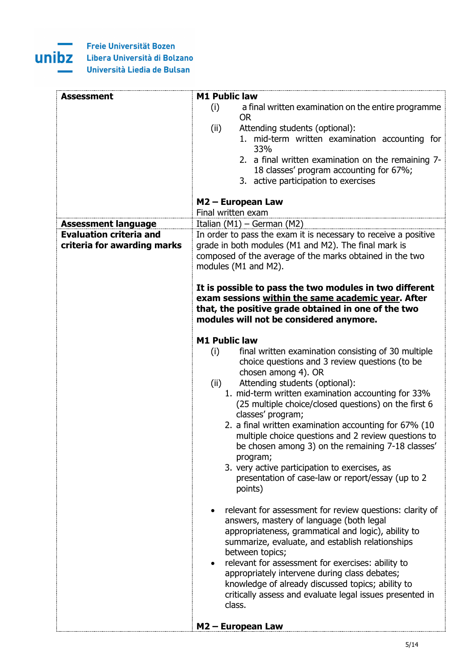

| <b>Assessment</b>              | <b>M1 Public law</b>                                                                                       |
|--------------------------------|------------------------------------------------------------------------------------------------------------|
|                                | (i)<br>a final written examination on the entire programme<br><b>OR</b>                                    |
|                                | Attending students (optional):                                                                             |
|                                | (ii)<br>1. mid-term written examination accounting for                                                     |
|                                | 33%                                                                                                        |
|                                | 2. a final written examination on the remaining 7-                                                         |
|                                | 18 classes' program accounting for 67%;                                                                    |
|                                | 3. active participation to exercises                                                                       |
|                                |                                                                                                            |
|                                | M2 - European Law<br>Final written exam                                                                    |
| <b>Assessment language</b>     | Italian (M1) - German (M2)                                                                                 |
| <b>Evaluation criteria and</b> | In order to pass the exam it is necessary to receive a positive                                            |
| criteria for awarding marks    | grade in both modules (M1 and M2). The final mark is                                                       |
|                                | composed of the average of the marks obtained in the two                                                   |
|                                | modules (M1 and M2).                                                                                       |
|                                |                                                                                                            |
|                                | It is possible to pass the two modules in two different                                                    |
|                                | exam sessions within the same academic year. After                                                         |
|                                | that, the positive grade obtained in one of the two                                                        |
|                                | modules will not be considered anymore.                                                                    |
|                                |                                                                                                            |
|                                | <b>M1 Public law</b>                                                                                       |
|                                | final written examination consisting of 30 multiple<br>(i)                                                 |
|                                | choice questions and 3 review questions (to be                                                             |
|                                | chosen among 4). OR                                                                                        |
|                                | Attending students (optional):<br>(ii)                                                                     |
|                                | 1. mid-term written examination accounting for 33%<br>(25 multiple choice/closed questions) on the first 6 |
|                                | classes' program;                                                                                          |
|                                | 2. a final written examination accounting for 67% (10                                                      |
|                                | multiple choice questions and 2 review questions to                                                        |
|                                | be chosen among 3) on the remaining 7-18 classes'                                                          |
|                                | program;                                                                                                   |
|                                | 3. very active participation to exercises, as                                                              |
|                                | presentation of case-law or report/essay (up to 2                                                          |
|                                | points)                                                                                                    |
|                                |                                                                                                            |
|                                | relevant for assessment for review questions: clarity of                                                   |
|                                | answers, mastery of language (both legal                                                                   |
|                                | appropriateness, grammatical and logic), ability to                                                        |
|                                | summarize, evaluate, and establish relationships                                                           |
|                                | between topics;                                                                                            |
|                                | relevant for assessment for exercises: ability to<br>$\bullet$                                             |
|                                | appropriately intervene during class debates;                                                              |
|                                | knowledge of already discussed topics; ability to                                                          |
|                                | critically assess and evaluate legal issues presented in<br>class.                                         |
|                                |                                                                                                            |
|                                | M2 - European Law                                                                                          |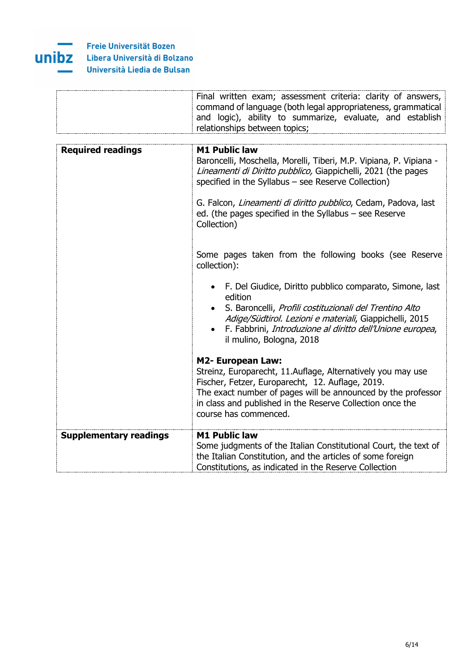

|                               | Final written exam; assessment criteria: clarity of answers,<br>command of language (both legal appropriateness, grammatical<br>and logic), ability to summarize, evaluate, and establish<br>relationships between topics;                                                                                                                                    |
|-------------------------------|---------------------------------------------------------------------------------------------------------------------------------------------------------------------------------------------------------------------------------------------------------------------------------------------------------------------------------------------------------------|
|                               |                                                                                                                                                                                                                                                                                                                                                               |
| <b>Required readings</b>      | <b>M1 Public law</b><br>Baroncelli, Moschella, Morelli, Tiberi, M.P. Vipiana, P. Vipiana -<br>Lineamenti di Diritto pubblico, Giappichelli, 2021 (the pages<br>specified in the Syllabus - see Reserve Collection)<br>G. Falcon, Lineamenti di diritto pubblico, Cedam, Padova, last<br>ed. (the pages specified in the Syllabus - see Reserve<br>Collection) |
|                               | Some pages taken from the following books (see Reserve<br>collection):                                                                                                                                                                                                                                                                                        |
|                               | F. Del Giudice, Diritto pubblico comparato, Simone, last<br>edition<br>S. Baroncelli, Profili costituzionali del Trentino Alto<br>Adige/Südtirol. Lezioni e materiali, Giappichelli, 2015<br>F. Fabbrini, Introduzione al diritto dell'Unione europea,<br>il mulino, Bologna, 2018                                                                            |
|                               | <b>M2- European Law:</b><br>Streinz, Europarecht, 11.Auflage, Alternatively you may use<br>Fischer, Fetzer, Europarecht, 12. Auflage, 2019.<br>The exact number of pages will be announced by the professor<br>in class and published in the Reserve Collection once the<br>course has commenced.                                                             |
| <b>Supplementary readings</b> | <b>M1 Public law</b><br>Some judgments of the Italian Constitutional Court, the text of<br>the Italian Constitution, and the articles of some foreign<br>Constitutions, as indicated in the Reserve Collection                                                                                                                                                |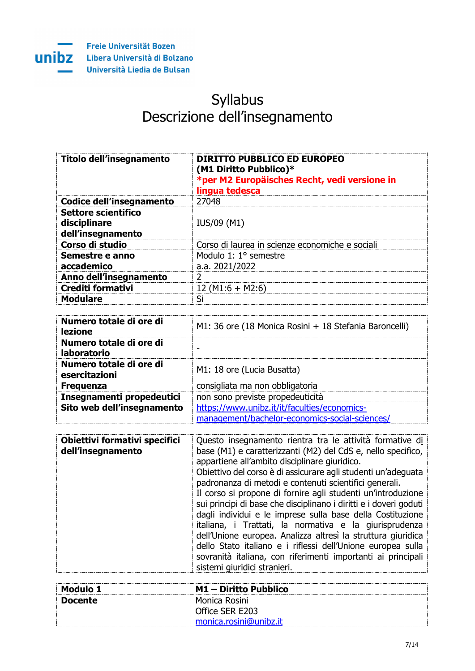

# Syllabus Descrizione dell'insegnamento

| Titolo dell'insegnamento                                 | DIRITTO PUBBLICO ED EUROPEO<br>(M1 Diritto Pubblico)*<br>*per M2 Europäisches Recht, vedi versione in<br>lingua tedesca |
|----------------------------------------------------------|-------------------------------------------------------------------------------------------------------------------------|
| Codice dell'insegnamento                                 | 27048                                                                                                                   |
| Settore scientifico<br>disciplinare<br>dell'insegnamento | IUS/09 (M1)                                                                                                             |
| Corso di studio                                          | Corso di laurea in scienze economiche e sociali                                                                         |
| Semestre e anno<br>accademico                            | Modulo 1: 1° semestre<br>a.a. 2021/2022                                                                                 |
| Anno dell'insegnamento                                   |                                                                                                                         |
| <b>Crediti formativi</b>                                 | 12 (M1:6 + M2:6)                                                                                                        |
| <b>Modulare</b>                                          | ςi                                                                                                                      |

| Numero totale di ore di<br><b>lezione</b>     | M1: 36 ore (18 Monica Rosini + 18 Stefania Baroncelli)                                         |
|-----------------------------------------------|------------------------------------------------------------------------------------------------|
| Numero totale di ore di<br><b>laboratorio</b> |                                                                                                |
| Numero totale di ore di<br>esercitazioni      | M1: 18 ore (Lucia Busatta)                                                                     |
| <b>Frequenza</b>                              | consigliata ma non obbligatoria                                                                |
| Insegnamenti propedeutici                     | non sono previste propedeuticità                                                               |
| Sito web dell'insegnamento                    | https://www.unibz.it/it/faculties/economics-<br>management/bachelor-economics-social-sciences/ |

| Obiettivi formativi specifici<br>dell'insegnamento | Questo insegnamento rientra tra le attività formative di<br>base (M1) e caratterizzanti (M2) del CdS e, nello specifico,<br>appartiene all'ambito disciplinare giuridico.<br>Obiettivo del corso è di assicurare agli studenti un'adeguata                                                                                                                                                                                                                                                                                                         |
|----------------------------------------------------|----------------------------------------------------------------------------------------------------------------------------------------------------------------------------------------------------------------------------------------------------------------------------------------------------------------------------------------------------------------------------------------------------------------------------------------------------------------------------------------------------------------------------------------------------|
|                                                    | padronanza di metodi e contenuti scientifici generali.<br>Il corso si propone di fornire agli studenti un'introduzione<br>sui principi di base che disciplinano i diritti e i doveri goduti<br>dagli individui e le imprese sulla base della Costituzione<br>italiana, i Trattati, la normativa e la giurisprudenza<br>dell'Unione europea. Analizza altresì la struttura giuridica<br>dello Stato italiano e i riflessi dell'Unione europea sulla<br>sovranità italiana, con riferimenti importanti ai principali<br>sistemi giuridici stranieri. |

| Modulo 1 | $M1 -$ Diritto Pubblico |
|----------|-------------------------|
| Docente  | Monica Rosini           |
|          | Office SER E203         |
|          | monica.rosini@unibz.it  |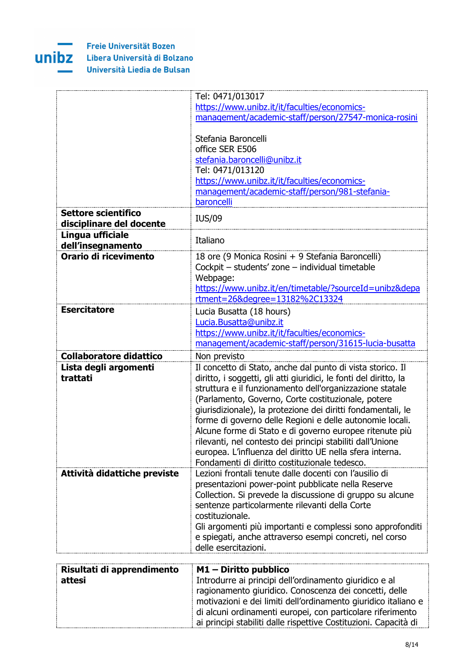

|                                                 | Tel: 0471/013017                                                                                    |
|-------------------------------------------------|-----------------------------------------------------------------------------------------------------|
|                                                 | https://www.unibz.it/it/faculties/economics-                                                        |
|                                                 | management/academic-staff/person/27547-monica-rosini                                                |
|                                                 |                                                                                                     |
|                                                 | Stefania Baroncelli                                                                                 |
|                                                 | office SER E506                                                                                     |
|                                                 | stefania.baroncelli@unibz.it                                                                        |
|                                                 | Tel: 0471/013120                                                                                    |
|                                                 | https://www.unibz.it/it/faculties/economics-                                                        |
|                                                 | management/academic-staff/person/981-stefania-                                                      |
|                                                 | baroncelli                                                                                          |
| Settore scientifico<br>disciplinare del docente | <b>IUS/09</b>                                                                                       |
| Lingua ufficiale<br>dell'insegnamento           | Italiano                                                                                            |
| Orario di ricevimento                           | 18 ore (9 Monica Rosini + 9 Stefania Baroncelli)<br>Cockpit - students' zone - individual timetable |
|                                                 | Webpage:                                                                                            |
|                                                 | https://www.unibz.it/en/timetable/?sourceId=unibz&depa                                              |
|                                                 | rtment=26&degree=13182%2C13324                                                                      |
| <b>Esercitatore</b>                             | Lucia Busatta (18 hours)                                                                            |
|                                                 | Lucia.Busatta@unibz.it                                                                              |
|                                                 | https://www.unibz.it/it/faculties/economics-                                                        |
|                                                 | management/academic-staff/person/31615-lucia-busatta                                                |
| <b>Collaboratore didattico</b>                  | Non previsto                                                                                        |
| Lista degli argomenti                           | Il concetto di Stato, anche dal punto di vista storico. Il                                          |
| trattati                                        | diritto, i soggetti, gli atti giuridici, le fonti del diritto, la                                   |
|                                                 | struttura e il funzionamento dell'organizzazione statale                                            |
|                                                 | (Parlamento, Governo, Corte costituzionale, potere                                                  |
|                                                 | giurisdizionale), la protezione dei diritti fondamentali, le                                        |
|                                                 | forme di governo delle Regioni e delle autonomie locali.                                            |
|                                                 | Alcune forme di Stato e di governo europee ritenute più                                             |
|                                                 | rilevanti, nel contesto dei principi stabiliti dall'Unione                                          |
|                                                 | europea. L'influenza del diritto UE nella sfera interna.                                            |
|                                                 | Fondamenti di diritto costituzionale tedesco.                                                       |
| Attività didattiche previste                    | Lezioni frontali tenute dalle docenti con l'ausilio di                                              |
|                                                 | presentazioni power-point pubblicate nella Reserve                                                  |
|                                                 | Collection. Si prevede la discussione di gruppo su alcune                                           |
|                                                 | sentenze particolarmente rilevanti della Corte                                                      |
|                                                 | costituzionale.                                                                                     |
|                                                 | Gli argomenti più importanti e complessi sono approfonditi                                          |
|                                                 | e spiegati, anche attraverso esempi concreti, nel corso                                             |
|                                                 | delle esercitazioni.                                                                                |

| Risultati di apprendimento | $M1 -$ Diritto pubblico                                          |
|----------------------------|------------------------------------------------------------------|
| attesi                     | Introdurre ai principi dell'ordinamento giuridico e al           |
|                            | ragionamento giuridico. Conoscenza dei concetti, delle           |
|                            | motivazioni e dei limiti dell'ordinamento giuridico italiano e   |
|                            | di alcuni ordinamenti europei, con particolare riferimento       |
|                            | ai principi stabiliti dalle rispettive Costituzioni. Capacità di |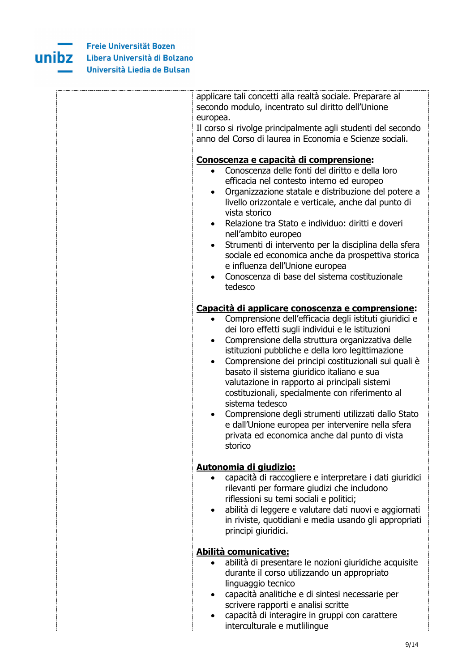

| applicare tali concetti alla realtà sociale. Preparare al<br>secondo modulo, incentrato sul diritto dell'Unione<br>europea.                                                                                                                                                                                                                                                                                                                                                                                                                                                                                                                                                                                          |
|----------------------------------------------------------------------------------------------------------------------------------------------------------------------------------------------------------------------------------------------------------------------------------------------------------------------------------------------------------------------------------------------------------------------------------------------------------------------------------------------------------------------------------------------------------------------------------------------------------------------------------------------------------------------------------------------------------------------|
| Il corso si rivolge principalmente agli studenti del secondo<br>anno del Corso di laurea in Economia e Scienze sociali.                                                                                                                                                                                                                                                                                                                                                                                                                                                                                                                                                                                              |
| <u>Conoscenza e capacità di comprensione:</u><br>Conoscenza delle fonti del diritto e della loro<br>efficacia nel contesto interno ed europeo<br>Organizzazione statale e distribuzione del potere a<br>livello orizzontale e verticale, anche dal punto di<br>vista storico<br>Relazione tra Stato e individuo: diritti e doveri<br>$\bullet$<br>nell'ambito europeo<br>Strumenti di intervento per la disciplina della sfera<br>$\bullet$<br>sociale ed economica anche da prospettiva storica<br>e influenza dell'Unione europea<br>Conoscenza di base del sistema costituzionale                                                                                                                                 |
| tedesco                                                                                                                                                                                                                                                                                                                                                                                                                                                                                                                                                                                                                                                                                                              |
| Capacità di applicare conoscenza e comprensione:<br>Comprensione dell'efficacia degli istituti giuridici e<br>$\bullet$<br>dei loro effetti sugli individui e le istituzioni<br>Comprensione della struttura organizzativa delle<br>$\bullet$<br>istituzioni pubbliche e della loro legittimazione<br>Comprensione dei principi costituzionali sui quali è<br>$\bullet$<br>basato il sistema giuridico italiano e sua<br>valutazione in rapporto ai principali sistemi<br>costituzionali, specialmente con riferimento al<br>sistema tedesco<br>Comprensione degli strumenti utilizzati dallo Stato<br>e dall'Unione europea per intervenire nella sfera<br>privata ed economica anche dal punto di vista<br>storico |
| Autonomia di giudizio:<br>capacità di raccogliere e interpretare i dati giuridici<br>$\bullet$<br>rilevanti per formare giudizi che includono<br>riflessioni su temi sociali e politici;<br>abilità di leggere e valutare dati nuovi e aggiornati<br>$\bullet$<br>in riviste, quotidiani e media usando gli appropriati<br>principi giuridici.                                                                                                                                                                                                                                                                                                                                                                       |
| Abilità comunicative:                                                                                                                                                                                                                                                                                                                                                                                                                                                                                                                                                                                                                                                                                                |
| abilità di presentare le nozioni giuridiche acquisite<br>durante il corso utilizzando un appropriato<br>linguaggio tecnico<br>capacità analitiche e di sintesi necessarie per<br>scrivere rapporti e analisi scritte<br>capacità di interagire in gruppi con carattere<br>interculturale e mutlilingue                                                                                                                                                                                                                                                                                                                                                                                                               |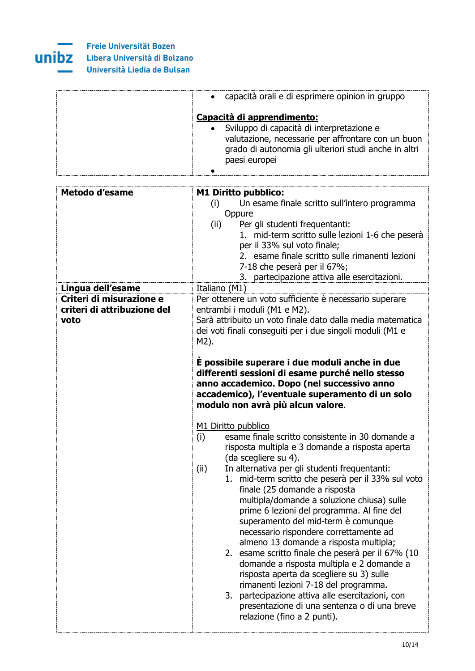

| • capacità orali e di esprimere opinion in gruppo                                                                                                                                                         |
|-----------------------------------------------------------------------------------------------------------------------------------------------------------------------------------------------------------|
| Capacità di apprendimento:<br>· Sviluppo di capacità di interpretazione e<br>valutazione, necessarie per affrontare con un buon<br>grado di autonomia gli ulteriori studi anche in altri<br>paesi europei |
|                                                                                                                                                                                                           |

| <b>Metodo d'esame</b>       | <b>M1 Diritto pubblico:</b>                                             |
|-----------------------------|-------------------------------------------------------------------------|
|                             | Un esame finale scritto sull'intero programma<br>(i)                    |
|                             | Oppure                                                                  |
|                             | Per gli studenti frequentanti:<br>(ii)                                  |
|                             | 1. mid-term scritto sulle lezioni 1-6 che peserà                        |
|                             | per il 33% sul voto finale;                                             |
|                             | 2. esame finale scritto sulle rimanenti lezioni                         |
|                             | 7-18 che peserà per il 67%;                                             |
|                             | 3. partecipazione attiva alle esercitazioni.                            |
| Lingua dell'esame           | Italiano (M1)                                                           |
| Criteri di misurazione e    | Per ottenere un voto sufficiente è necessario superare                  |
| criteri di attribuzione del | entrambi i moduli (M1 e M2).                                            |
| voto                        | Sarà attribuito un voto finale dato dalla media matematica              |
|                             | dei voti finali conseguiti per i due singoli moduli (M1 e               |
|                             | M2).                                                                    |
|                             |                                                                         |
|                             | È possibile superare i due moduli anche in due                          |
|                             | differenti sessioni di esame purché nello stesso                        |
|                             | anno accademico. Dopo (nel successivo anno                              |
|                             | accademico), l'eventuale superamento di un solo                         |
|                             | modulo non avrà più alcun valore.                                       |
|                             |                                                                         |
|                             | M1 Diritto pubblico                                                     |
|                             | esame finale scritto consistente in 30 domande a<br>(i)                 |
|                             | risposta multipla e 3 domande a risposta aperta<br>(da scegliere su 4). |
|                             | In alternativa per gli studenti frequentanti:<br>(ii)                   |
|                             | mid-term scritto che peserà per il 33% sul voto<br>1.                   |
|                             | finale (25 domande a risposta                                           |
|                             | multipla/domande a soluzione chiusa) sulle                              |
|                             | prime 6 lezioni del programma. Al fine del                              |
|                             | superamento del mid-term è comunque                                     |
|                             | necessario rispondere correttamente ad                                  |
|                             | almeno 13 domande a risposta multipla;                                  |
|                             | 2. esame scritto finale che peserà per il 67% (10                       |
|                             | domande a risposta multipla e 2 domande a                               |
|                             | risposta aperta da scegliere su 3) sulle                                |
|                             | rimanenti lezioni 7-18 del programma.                                   |
|                             | partecipazione attiva alle esercitazioni, con<br>3.                     |
|                             | presentazione di una sentenza o di una breve                            |
|                             | relazione (fino a 2 punti).                                             |
|                             |                                                                         |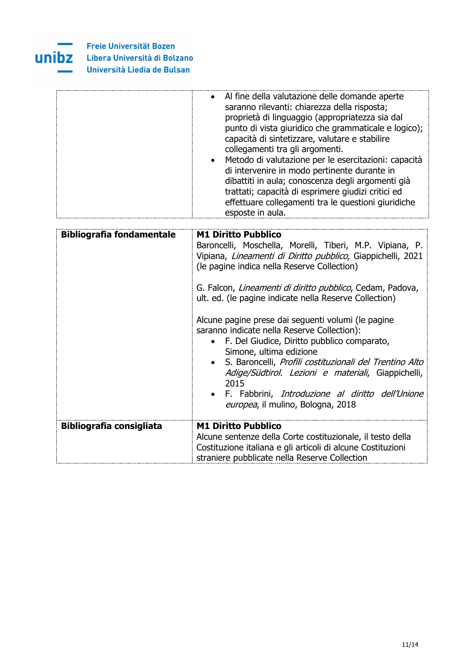

| • Al fine della valutazione delle domande aperte<br>saranno rilevanti: chiarezza della risposta;<br>proprietà di linguaggio (appropriatezza sia dal<br>punto di vista giuridico che grammaticale e logico);<br>capacità di sintetizzare, valutare e stabilire<br>collegamenti tra gli argomenti.<br>· Metodo di valutazione per le esercitazioni: capacità<br>di intervenire in modo pertinente durante in<br>dibattiti in aula; conoscenza degli argomenti già<br>trattati; capacità di esprimere giudizi critici ed<br>effettuare collegamenti tra le questioni giuridiche<br>esposte in aula. |
|--------------------------------------------------------------------------------------------------------------------------------------------------------------------------------------------------------------------------------------------------------------------------------------------------------------------------------------------------------------------------------------------------------------------------------------------------------------------------------------------------------------------------------------------------------------------------------------------------|
|                                                                                                                                                                                                                                                                                                                                                                                                                                                                                                                                                                                                  |

| <b>Bibliografia fondamentale</b> | <b>M1 Diritto Pubblico</b><br>Baroncelli, Moschella, Morelli, Tiberi, M.P. Vipiana, P.<br>Vipiana, Lineamenti di Diritto pubblico, Giappichelli, 2021<br>(le pagine indica nella Reserve Collection)<br>G. Falcon, Lineamenti di diritto pubblico, Cedam, Padova,<br>ult. ed. (le pagine indicate nella Reserve Collection)<br>Alcune pagine prese dai seguenti volumi (le pagine<br>saranno indicate nella Reserve Collection):<br>• F. Del Giudice, Diritto pubblico comparato,<br>Simone, ultima edizione<br>S. Baroncelli, Profili costituzionali del Trentino Alto<br>$\bullet$<br>Adige/Südtirol. Lezioni e materiali, Giappichelli,<br>2015<br>• F. Fabbrini, Introduzione al diritto dell'Unione<br>europea, il mulino, Bologna, 2018 |
|----------------------------------|-----------------------------------------------------------------------------------------------------------------------------------------------------------------------------------------------------------------------------------------------------------------------------------------------------------------------------------------------------------------------------------------------------------------------------------------------------------------------------------------------------------------------------------------------------------------------------------------------------------------------------------------------------------------------------------------------------------------------------------------------|
| <b>Bibliografia consigliata</b>  | <b>M1 Diritto Pubblico</b><br>Alcune sentenze della Corte costituzionale, il testo della<br>Costituzione italiana e gli articoli di alcune Costituzioni<br>straniere pubblicate nella Reserve Collection                                                                                                                                                                                                                                                                                                                                                                                                                                                                                                                                      |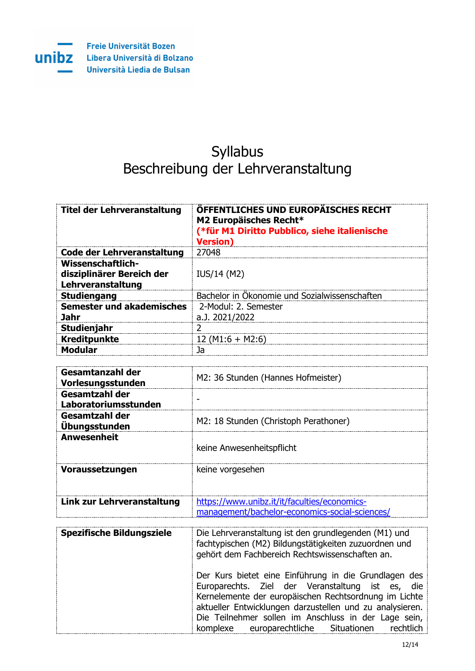

**Freie Universität Bozen** Libera Università di Bolzano Università Liedia de Bulsan

# Syllabus Beschreibung der Lehrveranstaltung

| Titel der Lehrveranstaltung                                         | <b>ÖFFENTLICHES UND EUROPÄISCHES RECHT</b><br>M2 Europäisches Recht*<br>(*für M1 Diritto Pubblico, siehe italienische<br><b>Version)</b> |
|---------------------------------------------------------------------|------------------------------------------------------------------------------------------------------------------------------------------|
| Code der Lehrveranstaltung                                          | 27048                                                                                                                                    |
| Wissenschaftlich-<br>disziplinärer Bereich der<br>Lehrveranstaltung | IUS/14 (M2)                                                                                                                              |
| <b>Studiengang</b>                                                  | Bachelor in Ökonomie und Sozialwissenschaften                                                                                            |
| Semester und akademisches                                           | 2-Modul: 2. Semester                                                                                                                     |
| <b>Jahr</b>                                                         | a.J. 2021/2022                                                                                                                           |
| Studienjahr                                                         |                                                                                                                                          |
| <b>Kreditpunkte</b>                                                 | $12 (M1:6 + M2:6)$                                                                                                                       |
| <b>Modular</b>                                                      | Jа                                                                                                                                       |

| Gesamtanzahl der<br>Vorlesungsstunden  | M2: 36 Stunden (Hannes Hofmeister)                                                             |
|----------------------------------------|------------------------------------------------------------------------------------------------|
| Gesamtzahl der<br>Laboratoriumsstunden |                                                                                                |
| Gesamtzahl der<br><b>Ubungsstunden</b> | M2: 18 Stunden (Christoph Perathoner)                                                          |
| <b>Anwesenheit</b>                     | keine Anwesenheitspflicht                                                                      |
| Voraussetzungen                        | keine vorgesehen                                                                               |
| Link zur Lehrveranstaltung             | https://www.unibz.it/it/faculties/economics-<br>management/bachelor-economics-social-sciences/ |

| Spezifische Bildungsziele | Die Lehrveranstaltung ist den grundlegenden (M1) und<br>fachtypischen (M2) Bildungstätigkeiten zuzuordnen und<br>gehört dem Fachbereich Rechtswissenschaften an.                                                                                                                                                                          |
|---------------------------|-------------------------------------------------------------------------------------------------------------------------------------------------------------------------------------------------------------------------------------------------------------------------------------------------------------------------------------------|
|                           | Der Kurs bietet eine Einführung in die Grundlagen des<br>Europarechts. Ziel der Veranstaltung ist es, die<br>Kernelemente der europäischen Rechtsordnung im Lichte<br>aktueller Entwicklungen darzustellen und zu analysieren.<br>Die Teilnehmer sollen im Anschluss in der Lage sein,<br>komplexe europarechtliche Situationen rechtlich |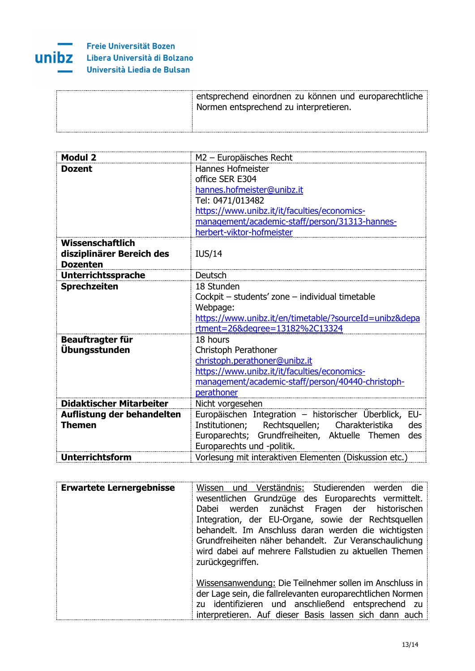

### Freie Universität Bozen Libera Università di Bolzano Università Liedia de Bulsan

| entsprechend einordnen zu können und europarechtliche<br>Normen entsprechend zu interpretieren. |
|-------------------------------------------------------------------------------------------------|
|                                                                                                 |

| <b>Modul 2</b>                  | M2 - Europäisches Recht                                    |
|---------------------------------|------------------------------------------------------------|
| <b>Dozent</b>                   | Hannes Hofmeister                                          |
|                                 | office SER E304                                            |
|                                 | hannes.hofmeister@unibz.it                                 |
|                                 | Tel: 0471/013482                                           |
|                                 | https://www.unibz.it/it/faculties/economics-               |
|                                 | management/academic-staff/person/31313-hannes-             |
|                                 | herbert-viktor-hofmeister                                  |
| Wissenschaftlich                |                                                            |
| disziplinärer Bereich des       | <b>IUS/14</b>                                              |
| <b>Dozenten</b>                 |                                                            |
| <b>Unterrichtssprache</b>       | Deutsch                                                    |
| <b>Sprechzeiten</b>             | 18 Stunden                                                 |
|                                 | Cockpit - students' zone - individual timetable            |
|                                 | Webpage:                                                   |
|                                 | https://www.unibz.it/en/timetable/?sourceId=unibz&depa     |
|                                 | rtment=26&degree=13182%2C13324                             |
| Beauftragter für                | 18 hours                                                   |
| Übungsstunden                   | Christoph Perathoner                                       |
|                                 | christoph.perathoner@unibz.it                              |
|                                 | https://www.unibz.it/it/faculties/economics-               |
|                                 | management/academic-staff/person/40440-christoph-          |
|                                 | perathoner                                                 |
| <b>Didaktischer Mitarbeiter</b> | Nicht vorgesehen                                           |
| Auflistung der behandelten      | Europäischen Integration – historischer Überblick,<br>EU-  |
| <b>Themen</b>                   | Rechtsquellen;<br>Charakteristika<br>des<br>Institutionen; |
|                                 | Europarechts; Grundfreiheiten, Aktuelle Themen<br>des      |
|                                 | Europarechts und -politik.                                 |
| <b>Unterrichtsform</b>          | Vorlesung mit interaktiven Elementen (Diskussion etc.)     |

| <b>Erwartete Lernergebnisse</b> | Wissen und Verständnis: Studierenden werden die<br>wesentlichen Grundzüge des Europarechts vermittelt.<br>Dabei werden zunächst Fragen der historischen<br>Integration, der EU-Organe, sowie der Rechtsquellen<br>behandelt. Im Anschluss daran werden die wichtigsten<br>Grundfreiheiten näher behandelt. Zur Veranschaulichung<br>wird dabei auf mehrere Fallstudien zu aktuellen Themen<br>zurückgegriffen. |
|---------------------------------|----------------------------------------------------------------------------------------------------------------------------------------------------------------------------------------------------------------------------------------------------------------------------------------------------------------------------------------------------------------------------------------------------------------|
|                                 | Wissensanwendung: Die Teilnehmer sollen im Anschluss in<br>der Lage sein, die fallrelevanten europarechtlichen Normen<br>zu identifizieren und anschließend entsprechend zu<br>interpretieren. Auf dieser Basis lassen sich dann auch                                                                                                                                                                          |